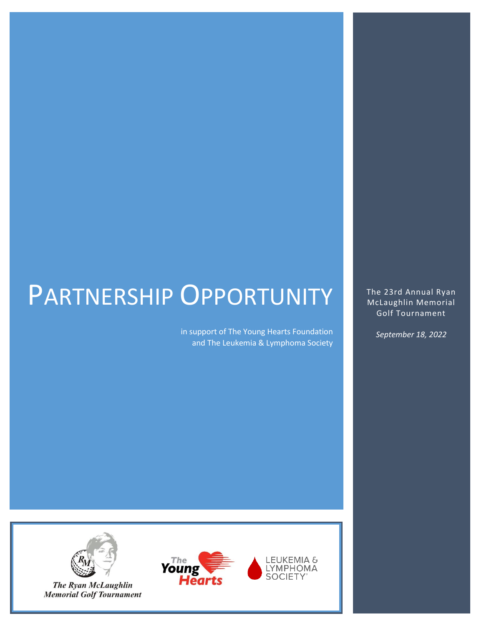# PARTNERSHIP OPPORTUNITY

in support of The Young Hearts Foundation and The Leukemia & Lymphoma Society

The 23rd Annual Ryan McLaughlin Memorial Golf Tournament

*September 18, 2022*



**The Ryan McLaughlin Memorial Golf Tournament** 



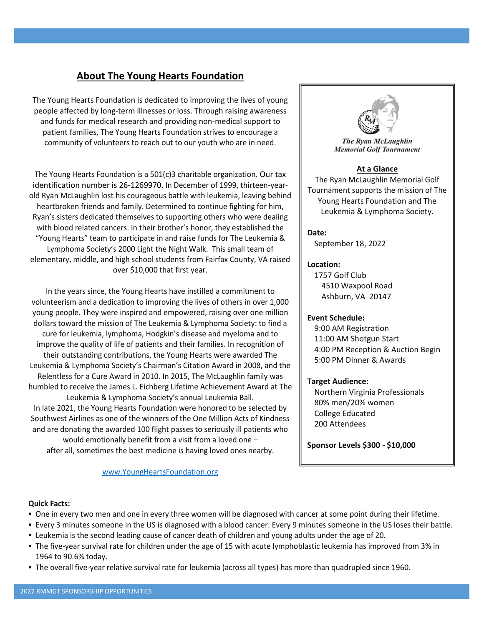### **About The Young Hearts Foundation**

The Young Hearts Foundation is dedicated to improving the lives of young people affected by long-term illnesses or loss. Through raising awareness and funds for medical research and providing non-medical support to patient families, The Young Hearts Foundation strives to encourage a community of volunteers to reach out to our youth who are in need.

The Young Hearts Foundation is a 501(c)3 charitable organization. Our tax identification number is 26-1269970. In December of 1999, thirteen-yearold Ryan McLaughlin lost his courageous battle with leukemia, leaving behind heartbroken friends and family. Determined to continue fighting for him, Ryan's sisters dedicated themselves to supporting others who were dealing with blood related cancers. In their brother's honor, they established the "Young Hearts" team to participate in and raise funds for The Leukemia & Lymphoma Society's 2000 Light the Night Walk. This small team of elementary, middle, and high school students from Fairfax County, VA raised over \$10,000 that first year.

In the years since, the Young Hearts have instilled a commitment to volunteerism and a dedication to improving the lives of others in over 1,000 young people. They were inspired and empowered, raising over one million dollars toward the mission of The Leukemia & Lymphoma Society: to find a cure for leukemia, lymphoma, Hodgkin's disease and myeloma and to improve the quality of life of patients and their families. In recognition of their outstanding contributions, the Young Hearts were awarded The Leukemia & Lymphoma Society's Chairman's Citation Award in 2008, and the Relentless for a Cure Award in 2010. In 2015, The McLaughlin family was humbled to receive the James L. Eichberg Lifetime Achievement Award at The Leukemia & Lymphoma Society's annual Leukemia Ball.

In late 2021, the Young Hearts Foundation were honored to be selected by Southwest Airlines as one of the winners of the One Million Acts of Kindness and are donating the awarded 100 flight passes to seriously ill patients who would emotionally benefit from a visit from a loved one –

after all, sometimes the best medicine is having loved ones nearby.

#### [www.YoungHeartsFoundation.org](http://www.youngheartsfoundation.org/)



The Ryan McLaughlin **Memorial Golf Tournament** 

#### **At a Glance**

The Ryan McLaughlin Memorial Golf Tournament supports the mission of The Young Hearts Foundation and The Leukemia & Lymphoma Society.

#### **Date:**

September 18, 2022

#### **Location:**

1757 Golf Club 4510 Waxpool Road Ashburn, VA 20147

#### **Event Schedule:**

9:00 AM Registration 11:00 AM Shotgun Start 4:00 PM Reception & Auction Begin 5:00 PM Dinner & Awards

#### **Target Audience:**

Northern Virginia Professionals 80% men/20% women College Educated 200 Attendees

**Sponsor Levels \$300 - \$10,000**

#### **Quick Facts:**

- One in every two men and one in every three women will be diagnosed with cancer at some point during their lifetime.
- Every 3 minutes someone in the US is diagnosed with a blood cancer. Every 9 minutes someone in the US loses their battle.
- Leukemia is the second leading cause of cancer death of children and young adults under the age of 20.
- The five-year survival rate for children under the age of 15 with acute lymphoblastic leukemia has improved from 3% in 1964 to 90.6% today.
- The overall five-year relative survival rate for leukemia (across all types) has more than quadrupled since 1960.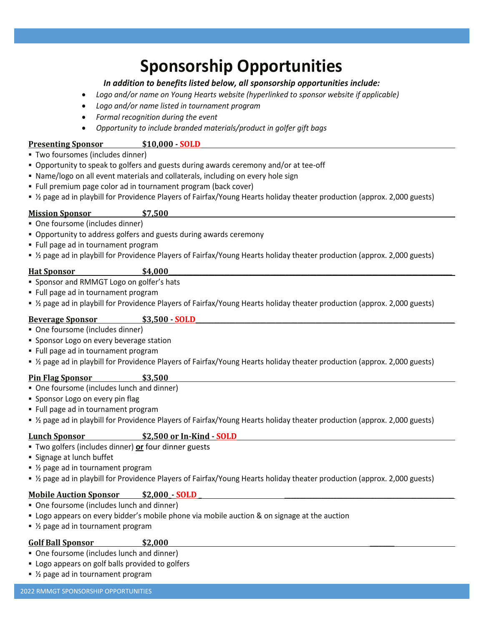## **Sponsorship Opportunities**

### *In addition to benefits listed below, all sponsorship opportunities include:*

- *Logo and/or name on Young Hearts website (hyperlinked to sponsor website if applicable)*
- *Logo and/or name listed in tournament program*
- *Formal recognition during the event*
- *Opportunity to include branded materials/product in golfer gift bags*

#### **Presenting Sponsor \$10,000 - SOLD**

- Two foursomes (includes dinner)
- Opportunity to speak to golfers and guests during awards ceremony and/or at tee-off
- Name/logo on all event materials and collaterals, including on every hole sign
- Full premium page color ad in tournament program (back cover)
- ½ page ad in playbill for Providence Players of Fairfax/Young Hearts holiday theater production (approx. 2,000 guests)

#### **Mission Sponsor \$7,500**

- One foursome (includes dinner)
- Opportunity to address golfers and guests during awards ceremony
- Full page ad in tournament program
- ½ page ad in playbill for Providence Players of Fairfax/Young Hearts holiday theater production (approx. 2,000 guests)

#### **Hat Sponsor \$4,000**

- Sponsor and RMMGT Logo on golfer's hats
- Full page ad in tournament program
- ½ page ad in playbill for Providence Players of Fairfax/Young Hearts holiday theater production (approx. 2,000 guests)

#### **Beverage Sponsor**  $\qquad \qquad$  \$3.500 - **SOLD**

- One foursome (includes dinner)
- **Sponsor Logo on every beverage station**
- Full page ad in tournament program
- ½ page ad in playbill for Providence Players of Fairfax/Young Hearts holiday theater production (approx. 2,000 guests)

#### **Pin Flag Sponsor \$3,500**

- One foursome (includes lunch and dinner)
- **·** Sponsor Logo on every pin flag
- Full page ad in tournament program
- ½ page ad in playbill for Providence Players of Fairfax/Young Hearts holiday theater production (approx. 2,000 guests)

#### **Lunch Sponsor \$2,500 or In-Kind - SOLD**

- Two golfers (includes dinner) **or** four dinner guests
- Signage at lunch buffet
- $%$  page ad in tournament program
- ½ page ad in playbill for Providence Players of Fairfax/Young Hearts holiday theater production (approx. 2,000 guests)

### **Mobile Auction Sponsor**  $\qquad$  **\$2,000 - <b>SOLD**

- One foursome (includes lunch and dinner)
- Logo appears on every bidder's mobile phone via mobile auction & on signage at the auction
- $\frac{1}{2}$  page ad in tournament program

#### **Golf Ball Sponsor \$2,000 \_\_\_\_\_\_\_\_**

- One foursome (includes lunch and dinner)
- **EX Logo appears on golf balls provided to golfers**
- $\bullet$  ½ page ad in tournament program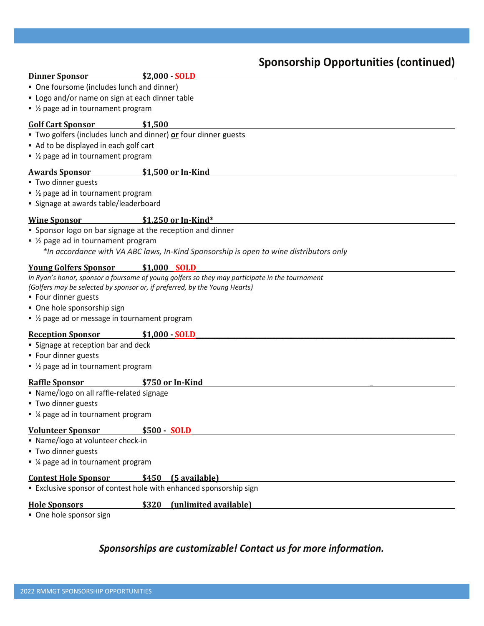### **Sponsorship Opportunities (continued)**

#### **Dinner Sponsor \$2,000 - SOLD**

- One foursome (includes lunch and dinner)
- Logo and/or name on sign at each dinner table
- ½ page ad in tournament program

#### **Golf Cart Sponsor \$1,500**

- Two golfers (includes lunch and dinner) **or** four dinner guests
- Ad to be displayed in each golf cart
- ½ page ad in tournament program

#### **Awards Sponsor \$1,500 or In-Kind**

▪ Two dinner guests

- $\bullet$  ½ page ad in tournament program
- **Example 2** Signage at awards table/leaderboard

#### **Wine Sponsor \$1,250 or In-Kind\***

- **.** Sponsor logo on bar signage at the reception and dinner
- $\frac{1}{2}$  page ad in tournament program *\*In accordance with VA ABC laws, In-Kind Sponsorship is open to wine distributors only*

#### **Young Golfers Sponsor**  $\qquad$  **\$1,000 <b>SOLD**

*In Ryan's honor, sponsor a foursome of young golfers so they may participate in the tournament*

*(Golfers may be selected by sponsor or, if preferred, by the Young Hearts)*

- Four dinner guests
- One hole sponsorship sign
- $\bullet$  ½ page ad or message in tournament program

#### **Reception Sponsor \$1,000 - SOLD\_\_\_\_\_\_\_\_\_\_\_\_\_\_\_\_\_\_\_\_\_\_\_\_\_\_\_\_\_\_\_\_\_\_\_\_\_\_\_\_\_\_\_\_\_\_\_\_\_\_\_\_\_\_\_\_\_\_\_\_\_\_\_\_\_\_\_\_\_\_\_\_\_\_\_\_\_\_\_\_\_\_\_\_**

- Signage at reception bar and deck
- Four dinner guests
- $\bullet$  ½ page ad in tournament program

#### **Raffle Sponsor \$750 or In-Kind \_**

- Name/logo on all raffle-related signage
- **Two dinner guests**
- ¼ page ad in tournament program

#### **Volunteer Sponsor \$500 - SOLD**

- Name/logo at volunteer check-in
- Two dinner guests
- ¼ page ad in tournament program

#### **Contest Hole Sponsor \$450 (5 available)**

**Exclusive sponsor of contest hole with enhanced sponsorship sign** 

#### **Hole Sponsors \$320 (unlimited available)**

■ One hole sponsor sign

#### *Sponsorships are customizable! Contact us for more information.*